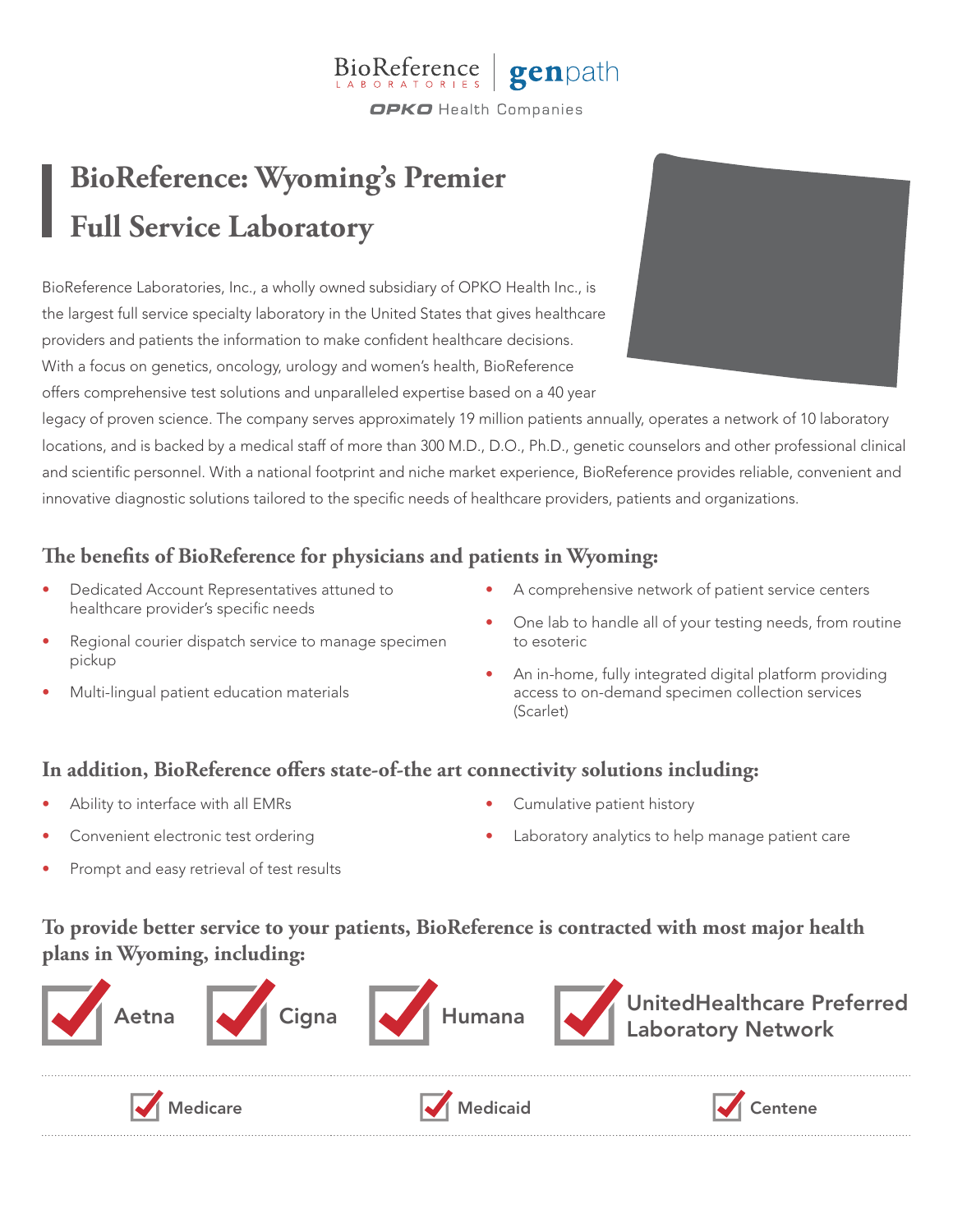#### BioReference genpath **OPKO** Health Companies

# **BioReference: Wyoming's Premier Full Service Laboratory**

BioReference Laboratories, Inc., a wholly owned subsidiary of OPKO Health Inc., is the largest full service specialty laboratory in the United States that gives healthcare providers and patients the information to make confident healthcare decisions. With a focus on genetics, oncology, urology and women's health, BioReference offers comprehensive test solutions and unparalleled expertise based on a 40 year



legacy of proven science. The company serves approximately 19 million patients annually, operates a network of 10 laboratory locations, and is backed by a medical staff of more than 300 M.D., D.O., Ph.D., genetic counselors and other professional clinical and scientific personnel. With a national footprint and niche market experience, BioReference provides reliable, convenient and innovative diagnostic solutions tailored to the specific needs of healthcare providers, patients and organizations.

# **The benefits of BioReference for physicians and patients in Wyoming:**

- Dedicated Account Representatives attuned to healthcare provider's specific needs
- Regional courier dispatch service to manage specimen pickup
- Multi-lingual patient education materials
- A comprehensive network of patient service centers
- One lab to handle all of your testing needs, from routine to esoteric
- An in-home, fully integrated digital platform providing access to on-demand specimen collection services (Scarlet)

### **In addition, BioReference offers state-of-the art connectivity solutions including:**

- Ability to interface with all EMRs
- Convenient electronic test ordering
- Cumulative patient history
- Laboratory analytics to help manage patient care

Prompt and easy retrieval of test results

# **To provide better service to your patients, BioReference is contracted with most major health plans in Wyoming, including:**